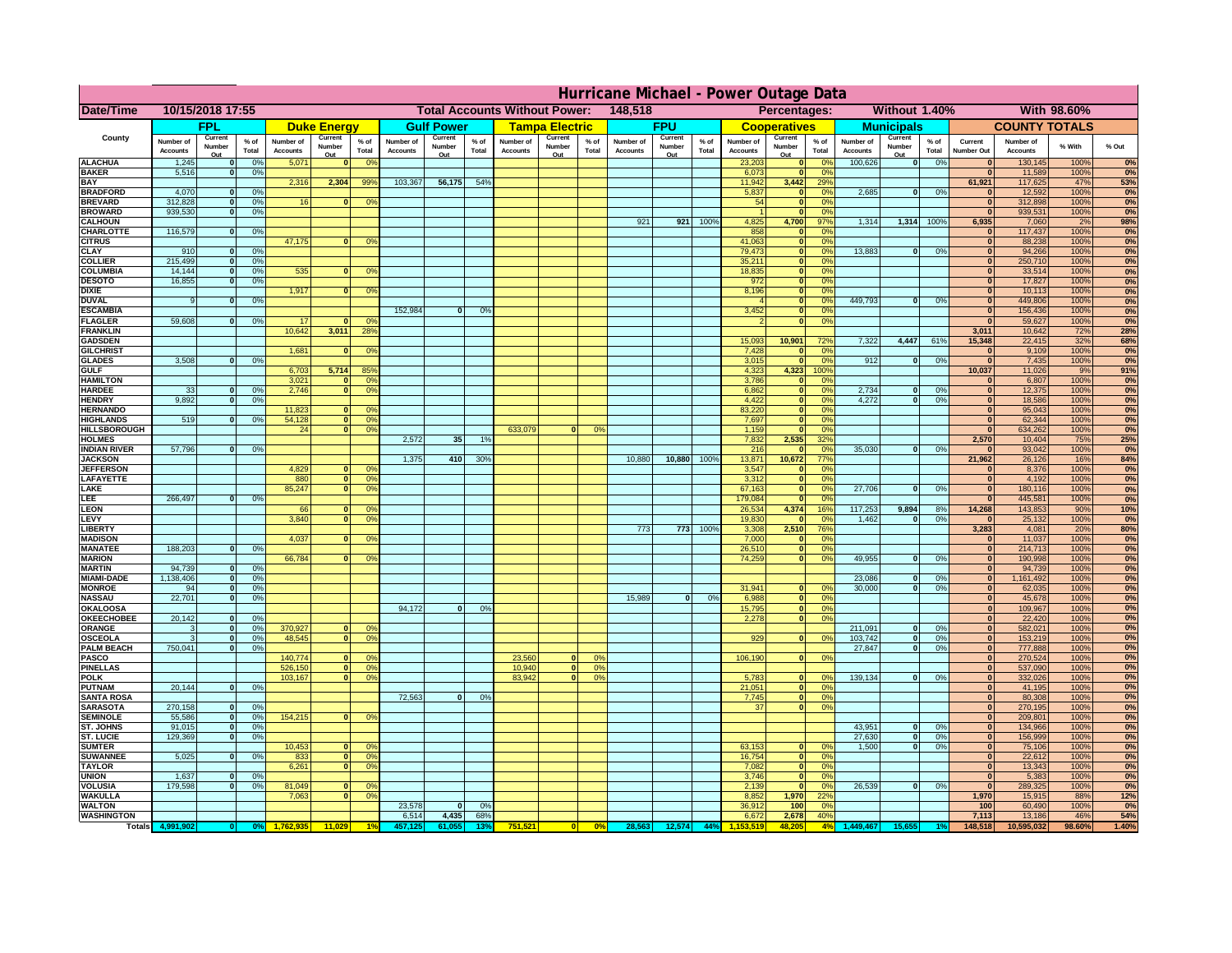|                                      | Hurricane Michael - Power Outage Data |                          |                    |                              |                          |                                        |                                                 |                          |                 |                              |                          |                               |                              |                          |                 |                              |                                  |                        |                              |                          |                 |                              |                              |              |            |
|--------------------------------------|---------------------------------------|--------------------------|--------------------|------------------------------|--------------------------|----------------------------------------|-------------------------------------------------|--------------------------|-----------------|------------------------------|--------------------------|-------------------------------|------------------------------|--------------------------|-----------------|------------------------------|----------------------------------|------------------------|------------------------------|--------------------------|-----------------|------------------------------|------------------------------|--------------|------------|
| Date/Time                            | 10/15/2018 17:55                      |                          |                    |                              |                          |                                        | <b>Total Accounts Without Power:</b><br>148,518 |                          |                 |                              |                          | Percentages:<br>Without 1.40% |                              |                          |                 |                              |                                  | With 98.60%            |                              |                          |                 |                              |                              |              |            |
|                                      | <b>FPL</b>                            |                          | <b>Duke Energy</b> |                              | <b>Gulf Power</b>        |                                        | <b>Tampa Electric</b>                           |                          | <b>FPU</b>      |                              |                          | <b>Cooperatives</b>           |                              | <b>Municipals</b>        |                 |                              | <b>COUNTY TOTALS</b>             |                        |                              |                          |                 |                              |                              |              |            |
| County                               | Number of<br><b>Accounts</b>          | Current<br>Number<br>Out | $%$ of<br>Total    | Number of<br><b>Accounts</b> | Current<br>Number<br>Out | $%$ of<br>Total                        | Number of<br><b>Accounts</b>                    | Current<br>Number<br>Out | $%$ of<br>Total | Number of<br><b>Accounts</b> | Current<br>Number<br>Out | % of<br>Total                 | Number of<br><b>Accounts</b> | Current<br>Number<br>Out | $%$ of<br>Total | Number of<br><b>Accounts</b> | Current<br>Number<br>Out         | $%$ of<br>Total        | Number of<br><b>Accounts</b> | Current<br>Number<br>Out | $%$ of<br>Total | Current<br><b>Number Out</b> | Number of<br><b>Accounts</b> | % With       | % Out      |
| <b>ALACHUA</b>                       | 1,245                                 | $\bf{0}$                 | 0%                 | 5,071                        |                          | 0 <sup>o</sup>                         |                                                 |                          |                 |                              |                          |                               |                              |                          |                 | 23,203                       |                                  | 0%                     | 100,626                      | 0                        | 0%              |                              | 130,145                      | 100%         | 0%         |
| <b>BAKER</b><br><b>BAY</b>           | 5,516                                 | $\mathbf 0$              | 0%                 |                              | 2,304                    |                                        | 103,367                                         |                          | 54%             |                              |                          |                               |                              |                          |                 | 6,073                        |                                  | 0%<br>29%              |                              |                          |                 | $\bf{0}$<br>61,921           | 11,589<br>117,625            | 100%<br>47%  | 0%         |
| <b>BRADFORD</b>                      | 4,070                                 | $\mathbf{0}$             | 0%                 | 2,316                        |                          | 99%                                    |                                                 | 56,175                   |                 |                              |                          |                               |                              |                          |                 | 11,942<br>5,837              | 3,442<br>$\mathbf{0}$            | 0 <sup>9</sup>         | 2,685                        | 0                        | 0%              |                              | 12,592                       | 100%         | 53%<br>0%  |
| <b>BREVARD</b>                       | 312,828                               | $\mathbf{0}$             | 0%                 | 16                           |                          | 0 <sup>9</sup>                         |                                                 |                          |                 |                              |                          |                               |                              |                          |                 | 54                           | $\mathbf{0}$                     | 0 <sup>9</sup>         |                              |                          |                 | $\mathbf{0}$                 | 312,898                      | 100%         | 0%         |
| <b>BROWARD</b>                       | 939,530                               | $\mathbf{0}$             | 0%                 |                              |                          |                                        |                                                 |                          |                 |                              |                          |                               |                              |                          |                 |                              | $\mathbf{r}$                     | 0 <sup>9</sup>         |                              |                          |                 | $\Omega$                     | 939,531                      | 100%         | 0%         |
| <b>CALHOUN</b><br>CHARLOTTE          | 116,579                               | $\Omega$                 | 0%                 |                              |                          |                                        |                                                 |                          |                 |                              |                          |                               | 921                          | 921                      | 100%            | 4,825<br>858                 | 4,700<br>$\Omega$                | 97%<br>0 <sup>9</sup>  | 1,314                        | 1,314                    | 100%            | 6,935<br>$\bf{0}$            | 7,060<br>117,437             | 2%<br>100%   | 98%<br>0%  |
| <b>CITRUS</b>                        |                                       |                          |                    | 47,175                       | $\Omega$                 | 0 <sup>9</sup>                         |                                                 |                          |                 |                              |                          |                               |                              |                          |                 | 41,063                       | $\mathbf{0}$                     | 0 <sup>9</sup>         |                              |                          |                 | $\mathbf{0}$                 | 88,238                       | 100%         | 0%         |
| <b>CLAY</b>                          | 910                                   | $\mathbf{o}$             | 0%                 |                              |                          |                                        |                                                 |                          |                 |                              |                          |                               |                              |                          |                 | 79,473                       | $\mathbf{0}$                     | 0%                     | 13,883                       | 0                        | 0%              | $\mathbf{0}$                 | 94,266                       | 100%         | 0%         |
| <b>COLLIER</b>                       | 215,499                               | 0                        | 0%                 |                              |                          |                                        |                                                 |                          |                 |                              |                          |                               |                              |                          |                 | 35,211                       | $\mathbf{0}$<br>$\mathbf{0}$     | 0%<br>0%               |                              |                          |                 | $\mathbf{0}$<br>$\bf{0}$     | 250,710                      | 100%         | 0%         |
| <b>COLUMBIA</b><br><b>DESOTO</b>     | 14,144<br>16,855                      | $\mathbf{o}$<br>$\Omega$ | 0%<br>0%           | 535                          |                          | 0 <sup>9</sup>                         |                                                 |                          |                 |                              |                          |                               |                              |                          |                 | 18,835<br>972                | $\mathbf{0}$                     | 0%                     |                              |                          |                 | $\overline{0}$               | 33,514<br>17,827             | 100%<br>100% | 0%<br>0%   |
| <b>DIXIE</b>                         |                                       |                          |                    | 1,917                        | $\Omega$                 | 0 <sup>9</sup>                         |                                                 |                          |                 |                              |                          |                               |                              |                          |                 | 8,196                        | $\overline{\phantom{a}}$         | 0%                     |                              |                          |                 | $\overline{0}$               | 10,113                       | 100%         | 0%         |
| <b>DUVAL</b>                         | 9                                     | $\Omega$                 | 0%                 |                              |                          |                                        |                                                 |                          |                 |                              |                          |                               |                              |                          |                 |                              | $\overline{\mathbf{0}}$          | 0%                     | 449.793                      | $\overline{0}$           | 0%              | $\overline{0}$               | 449,806                      | 100%         | 0%         |
| <b>ESCAMBIA</b><br><b>FLAGLER</b>    | 59.608                                | $\Omega$                 | 0%                 | 17                           | $\Omega$                 | nº                                     | 152.984                                         | $\Omega$                 | O <sup>o</sup>  |                              |                          |                               |                              |                          |                 | 3,452                        | ō<br>$\overline{\mathbf{0}}$     | 0%<br>0%               |                              |                          |                 | $\overline{0}$<br>$\Omega$   | 156,436<br>59,627            | 100%<br>100% | 0%<br>0%   |
| <b>FRANKLIN</b>                      |                                       |                          |                    | 10.642                       | 3,011                    | 28%                                    |                                                 |                          |                 |                              |                          |                               |                              |                          |                 |                              |                                  |                        |                              |                          |                 | 3,011                        | 10,642                       | 72%          | <b>28%</b> |
| <b>GADSDEN</b>                       |                                       |                          |                    |                              |                          |                                        |                                                 |                          |                 |                              |                          |                               |                              |                          |                 | 15.093                       | 10,901                           | 72%                    | 7.322                        | 4.447                    | 61%             | 15.348                       | 22,415                       | 32%          | 68%        |
| <b>GILCHRIST</b>                     |                                       |                          |                    | 1,681                        |                          | 0 <sup>9</sup>                         |                                                 |                          |                 |                              |                          |                               |                              |                          |                 | 7,428                        |                                  | 0 <sup>9</sup>         |                              |                          |                 | $\mathbf{0}$                 | 9,109                        | 100%         | 0%         |
| <b>GLADES</b><br><b>GULF</b>         | 3,508                                 | $\mathbf{0}$             | 0%                 |                              | 5,714                    | 85%                                    |                                                 |                          |                 |                              |                          |                               |                              |                          |                 | 3,015<br>4,323               | $\sqrt{2}$<br>4,323              | 0 <sup>9</sup><br>100% | 912                          | $\bf{0}$                 | 0%              | $\mathbf{0}$<br>10,037       | 7,435                        | 100%<br>9%   | 0%<br>91%  |
| <b>HAMILTON</b>                      |                                       |                          |                    | 6,703<br>3,021               | $\Omega$                 | 0 <sup>9</sup>                         |                                                 |                          |                 |                              |                          |                               |                              |                          |                 | 3,786                        | $\mathbf{0}$                     | 0%                     |                              |                          |                 | $\mathbf{0}$                 | 11,026<br>6,807              | 100%         | 0%         |
| <b>HARDEE</b>                        | 33                                    | $\bf{0}$                 | 0%                 | 2,746                        | $\overline{0}$           | 0 <sup>9</sup>                         |                                                 |                          |                 |                              |                          |                               |                              |                          |                 | 6,862                        | $\mathbf{0}$                     | 0 <sup>9</sup>         | 2,734                        | $\mathbf{0}$             | 0%              | $\overline{0}$               | 12,375                       | 100%         | 0%         |
| <b>HENDRY</b>                        | 9.892                                 | 0                        | 0%                 |                              |                          |                                        |                                                 |                          |                 |                              |                          |                               |                              |                          |                 | 4,422                        | $\overline{\phantom{a}}$         | 0%                     | 4,272                        | $\overline{0}$           | 0%              | $\overline{0}$               | 18,586                       | 100%         | 0%         |
| <b>HERNANDO</b><br><b>HIGHLANDS</b>  | 519                                   | $\Omega$                 | 0%                 | 11,823<br>54,128             | $\bf{0}$<br> 0           | 0 <sup>9</sup><br>0 <sup>9</sup>       |                                                 |                          |                 |                              |                          |                               |                              |                          |                 | 83,220<br>7,697              | $\overline{0}$<br>$\overline{0}$ | 0%<br>0%               |                              |                          |                 | $\overline{0}$<br>$\bf{0}$   | 95,043<br>62,344             | 100%<br>100% | 0%<br>0%   |
| <b>HILLSBOROUGH</b>                  |                                       |                          |                    | 24                           | 0                        | 0%                                     |                                                 |                          |                 | 633,079                      | nl                       | 0 <sup>o</sup>                |                              |                          |                 | 1,159                        | $\mathbf{0}$                     | 0%                     |                              |                          |                 | $\mathbf{0}$                 | 634,262                      | 100%         | 0%         |
| <b>HOLMES</b>                        |                                       |                          |                    |                              |                          |                                        | 2,572                                           | 35 <sup>1</sup>          | 1%              |                              |                          |                               |                              |                          |                 | 7,832                        | 2,535                            | 32%                    |                              |                          |                 | 2,570                        | 10,404                       | 75%          | 25%        |
| <b>INDIAN RIVER</b>                  | 57,796                                | $\Omega$                 | 0%                 |                              |                          |                                        |                                                 |                          |                 |                              |                          |                               |                              |                          |                 | 216                          |                                  | 0%                     | 35,030                       | $\Omega$                 | 0%              | $\bf{0}$                     | 93,042                       | 100%         | 0%         |
| <b>JACKSON</b><br><b>JEFFERSON</b>   |                                       |                          |                    | 4,829                        | $\mathbf{0}$             | 0 <sup>9</sup>                         | 1,375                                           | 410                      | 30%             |                              |                          |                               | 10,880                       | 10,880                   | 100%            | 13,871<br>3,547              | 10,672                           | 77%<br>0 <sup>9</sup>  |                              |                          |                 | 21,962<br>$\bf{0}$           | 26,126<br>8,376              | 16%<br>100%  | 84%<br>0%  |
| LAFAYETTE                            |                                       |                          |                    | 880                          | 0                        | 0 <sup>9</sup>                         |                                                 |                          |                 |                              |                          |                               |                              |                          |                 | 3,312                        |                                  | 0 <sup>9</sup>         |                              |                          |                 | $\mathbf{0}$                 | 4,192                        | 100%         | 0%         |
| LAKE                                 |                                       |                          |                    | 85,247                       | $\Omega$                 | 0 <sup>9</sup>                         |                                                 |                          |                 |                              |                          |                               |                              |                          |                 | 67,163                       | $\mathbf{0}$                     | 0 <sup>9</sup>         | 27,706                       | $\Omega$                 | 0%              | $\mathbf{0}$                 | 180,116                      | 100%         | 0%         |
| LEE                                  | 266,497                               | $\Omega$                 | 0%                 |                              |                          |                                        |                                                 |                          |                 |                              |                          |                               |                              |                          |                 | 179,084                      | $\Omega$                         | 0 <sup>9</sup>         |                              |                          |                 | $\mathbf{0}$                 | 445,581                      | 100%         | 0%         |
| <b>LEON</b><br>LEVY                  |                                       |                          |                    | 66<br>3,840                  | $\Omega$                 | $^{\circ}$<br>0 <sup>9</sup>           |                                                 |                          |                 |                              |                          |                               |                              |                          |                 | 26,534<br>19,830             | 4,374                            | 16%<br>0 <sup>2</sup>  | 117,253<br>1,462             | 9,894<br>$\Omega$        | 8%<br>0%        | 14,268<br>$\bf{0}$           | 143,853<br>25,132            | 90%<br>100%  | 10%<br>0%  |
| <b>LIBERT</b>                        |                                       |                          |                    |                              |                          |                                        |                                                 |                          |                 |                              |                          |                               | 773                          | 773                      | 100%            | 3,308                        | 2,510                            | 76%                    |                              |                          |                 | 3,283                        | 4,081                        | 20%          | 80%        |
| <b>MADISON</b>                       |                                       |                          |                    | 4,037                        |                          | 0 <sup>9</sup>                         |                                                 |                          |                 |                              |                          |                               |                              |                          |                 | 7,000                        | $\mathbf{0}$                     | 0 <sup>9</sup>         |                              |                          |                 | $\bf{0}$                     | 11,037                       | 100%         | 0%         |
| <b>MANATEE</b>                       | 188,203                               | 0                        | 0%                 |                              |                          |                                        |                                                 |                          |                 |                              |                          |                               |                              |                          |                 | 26,510                       | $\mathbf{0}$                     | 0%                     |                              |                          |                 | $\bf{0}$                     | 214,713                      | 100%         | 0%         |
| <b>MARION</b><br><b>MARTIN</b>       | 94,739                                | 0                        | 0%                 | 66,784                       |                          | 0 <sup>9</sup>                         |                                                 |                          |                 |                              |                          |                               |                              |                          |                 | 74,259                       | $\mathbf{0}$                     | 0%                     | 49,955                       | $\Omega$                 | 0%              | 0 <br> 0                     | 190,998<br>94,739            | 100%<br>100% | 0%<br>0%   |
| <b>MIAMI-DADE</b>                    | 1,138,406                             | 0                        | 0%                 |                              |                          |                                        |                                                 |                          |                 |                              |                          |                               |                              |                          |                 |                              |                                  |                        | 23,086                       | 0                        | 0%              | 0                            | 1,161,492                    | 100%         | 0%         |
| <b>MONROE</b>                        | 94                                    | 0                        | 0%                 |                              |                          |                                        |                                                 |                          |                 |                              |                          |                               |                              |                          |                 | 31,941                       | $\mathbf{0}$                     | $\Omega$ <sup>o</sup>  | 30,000                       | $\Omega$                 | 0%              | 0                            | 62,035                       | 100%         | 0%         |
| <b>NASSAU</b>                        | 22,701                                | 0                        | 0%                 |                              |                          |                                        |                                                 |                          |                 |                              |                          |                               | 15,989                       | 0                        | 0%              | 6,988                        | 0                                | 0 <sup>9</sup>         |                              |                          |                 | $\mathbf{0}$                 | 45,678                       | 100%         | 0%         |
| <b>OKALOOSA</b><br><b>OKEECHOBEE</b> | 20,142                                | $\Omega$                 | 0%                 |                              |                          |                                        | 94,172                                          | $\mathbf{0}$             | 0%              |                              |                          |                               |                              |                          |                 | 15,795<br>2,278              | 0 <br> 0                         | 0%<br>0%               |                              |                          |                 | $\mathbf{0}$<br>$\mathbf{0}$ | 109,967<br>22,420            | 100%<br>100% | 0%<br>0%   |
| <b>ORANGE</b>                        |                                       | 0                        | 0%                 | 370,927                      | $\mathbf{0}$             | 0 <sup>o</sup>                         |                                                 |                          |                 |                              |                          |                               |                              |                          |                 |                              |                                  |                        | 211,091                      | $\mathbf{0}$             | 0%              | $\mathbf{0}$                 | 582,021                      | 100%         | 0%         |
| <b>OSCEOLA</b>                       | 3                                     | 0                        | 0%                 | 48,545                       | $\Omega$                 | 0 <sup>9</sup>                         |                                                 |                          |                 |                              |                          |                               |                              |                          |                 | 929                          | ol                               | 0 <sup>9</sup>         | 103,742                      | $\overline{0}$           | 0%              | 0                            | 153,219                      | 100%         | 0%         |
| <b>PALM BEACH</b>                    | 750,041                               | 0                        | 0%                 |                              |                          |                                        |                                                 |                          |                 |                              |                          |                               |                              |                          |                 |                              |                                  |                        | 27,847                       | $\Omega$                 | 0%              | $\mathbf{0}$                 | 777,888                      | 100%         | 0%         |
| <b>PASCO</b><br><b>PINELLAS</b>      |                                       |                          |                    | 140,774<br>526,150           | $\Omega$                 | 0 <sup>9</sup><br>0 <sup>9</sup><br> 0 |                                                 |                          |                 | 23,560<br>10,940             | $\mathbf{0}$<br> 0       | 0 <sup>9</sup><br>0%          |                              |                          |                 | 106,190                      | 0                                | 0 <sup>9</sup>         |                              |                          |                 | $\Omega$<br>$\mathbf{0}$     | 270,524<br>537,090           | 100%<br>100% | 0%<br>0%   |
| <b>POLK</b>                          |                                       |                          |                    | 103,167                      | $\mathbf{0}$             | 0 <sup>9</sup>                         |                                                 |                          |                 | 83,942                       | $\overline{0}$           | 0%                            |                              |                          |                 | 5,783                        | $\mathbf{0}$                     | 0 <sup>9</sup>         | 139,134                      | 0                        | 0%              | $\mathbf{0}$                 | 332,026                      | 100%         | 0%         |
| <b>PUTNAM</b>                        | 20,144                                | 0                        | 0%                 |                              |                          |                                        |                                                 |                          |                 |                              |                          |                               |                              |                          |                 | 21,051                       | $\mathbf{0}$                     | 0 <sup>9</sup>         |                              |                          |                 | $\mathbf{0}$                 | 41,195                       | 100%         | 0%         |
| <b>SANTA ROSA</b>                    | 270,158                               |                          |                    |                              |                          |                                        | 72,563                                          | 0                        | 0%              |                              |                          |                               |                              |                          |                 | 7,745                        | $\mathbf{0}$<br>$\overline{0}$   | 0%                     |                              |                          |                 | $\mathbf{0}$<br>$\mathbf{0}$ | 80,308                       | 100%         | 0%         |
| <b>SARASOTA</b><br><b>SEMINOLE</b>   | 55,586                                | 0<br>0                   | 0%<br>0%           | 154,215                      |                          | 0 <sup>9</sup><br>$\mathbf{0}$         |                                                 |                          |                 |                              |                          |                               |                              |                          |                 | 37                           |                                  | 0%                     |                              |                          |                 | $\mathbf{0}$                 | 270,195<br>209.801           | 100%<br>100% | 0%<br>0%   |
| ST. JOHNS                            | 91,015                                | 0                        | 0%                 |                              |                          |                                        |                                                 |                          |                 |                              |                          |                               |                              |                          |                 |                              |                                  |                        | 43.951                       | $\overline{0}$           | 0%              | $\mathbf{0}$                 | 134,966                      | 100%         | 0%         |
| <b>ST. LUCIE</b>                     | 129.369                               | $\mathbf{0}$             | 0%                 |                              |                          |                                        |                                                 |                          |                 |                              |                          |                               |                              |                          |                 |                              |                                  |                        | 27.630                       | $\overline{0}$           | 0%              | $\mathbf{0}$                 | 156.999                      | 100%         | 0%         |
| <b>SUMTER</b>                        |                                       | $\Omega$                 |                    | 10,453                       | $\mathbf{0}$             | 0 <sup>9</sup>                         |                                                 |                          |                 |                              |                          |                               |                              |                          |                 | 63,153                       | $\mathbf{0}$                     | $\Omega$ <sup>c</sup>  | 1,500                        | 0                        | 0%              | $\mathbf{0}$                 | 75,106                       | 100%         | 0%         |
| <b>SUWANNEE</b><br><b>TAYLOR</b>     | 5,025                                 |                          | 0%                 | 833<br>6,261                 | 0 <br> 0                 | 0 <sup>9</sup><br>0 <sup>9</sup>       |                                                 |                          |                 |                              |                          |                               |                              |                          |                 | 16,754<br>7,082              | $\mathbf{0}$<br>$\mathbf{0}$     | 0 <sup>9</sup><br>0%   |                              |                          |                 | $\mathbf{0}$<br>$\mathbf{0}$ | 22,612<br>13,343             | 100%<br>100% | 0%<br>0%   |
| <b>UNION</b>                         | 1,637                                 | $\mathbf{0}$             | 0%                 |                              |                          |                                        |                                                 |                          |                 |                              |                          |                               |                              |                          |                 | 3,746                        | $\mathbf{0}$                     | 0 <sup>9</sup>         |                              |                          |                 | $\mathbf{0}$                 | 5,383                        | 100%         | 0%         |
| <b>VOLUSIA</b>                       | 179,598                               | $\mathbf{0}$             | 0%                 | 81,049                       |                          | 0 <sup>9</sup>                         |                                                 |                          |                 |                              |                          |                               |                              |                          |                 | 2,139                        |                                  | 0 <sup>9</sup>         | 26,539                       | 0                        | 0%              | $\mathbf{0}$                 | 289,325                      | 100%         | 0%         |
| <b>WAKULLA</b><br><b>WALTON</b>      |                                       |                          |                    | 7,063                        | $\bf{0}$                 | 0 <sup>9</sup>                         | 23,578                                          | $\mathbf{0}$             | 0%              |                              |                          |                               |                              |                          |                 | 8,852<br>36,912              | 1,970<br>100                     | 22%                    |                              |                          |                 | 1,970<br>100                 | 15,915<br>60,490             | 88%<br>100%  | 12%<br>0%  |
| <b>WASHINGTON</b>                    |                                       |                          |                    |                              |                          |                                        | 6,514                                           | 4,435                    | 68%             |                              |                          |                               |                              |                          |                 | 6,672                        | 2,678                            | 0 <sup>9</sup><br>40%  |                              |                          |                 | 7,113                        | 13,186                       | 46%          | 54%        |
| <b>Totals</b>                        |                                       |                          |                    |                              |                          |                                        |                                                 |                          |                 | 751,521                      |                          | 0%                            | 28,563                       | 12,574                   | 44%             |                              | 48.20                            | 4%                     |                              |                          |                 | 148,518                      | 10,595,032                   | 98.60%       | 1.40%      |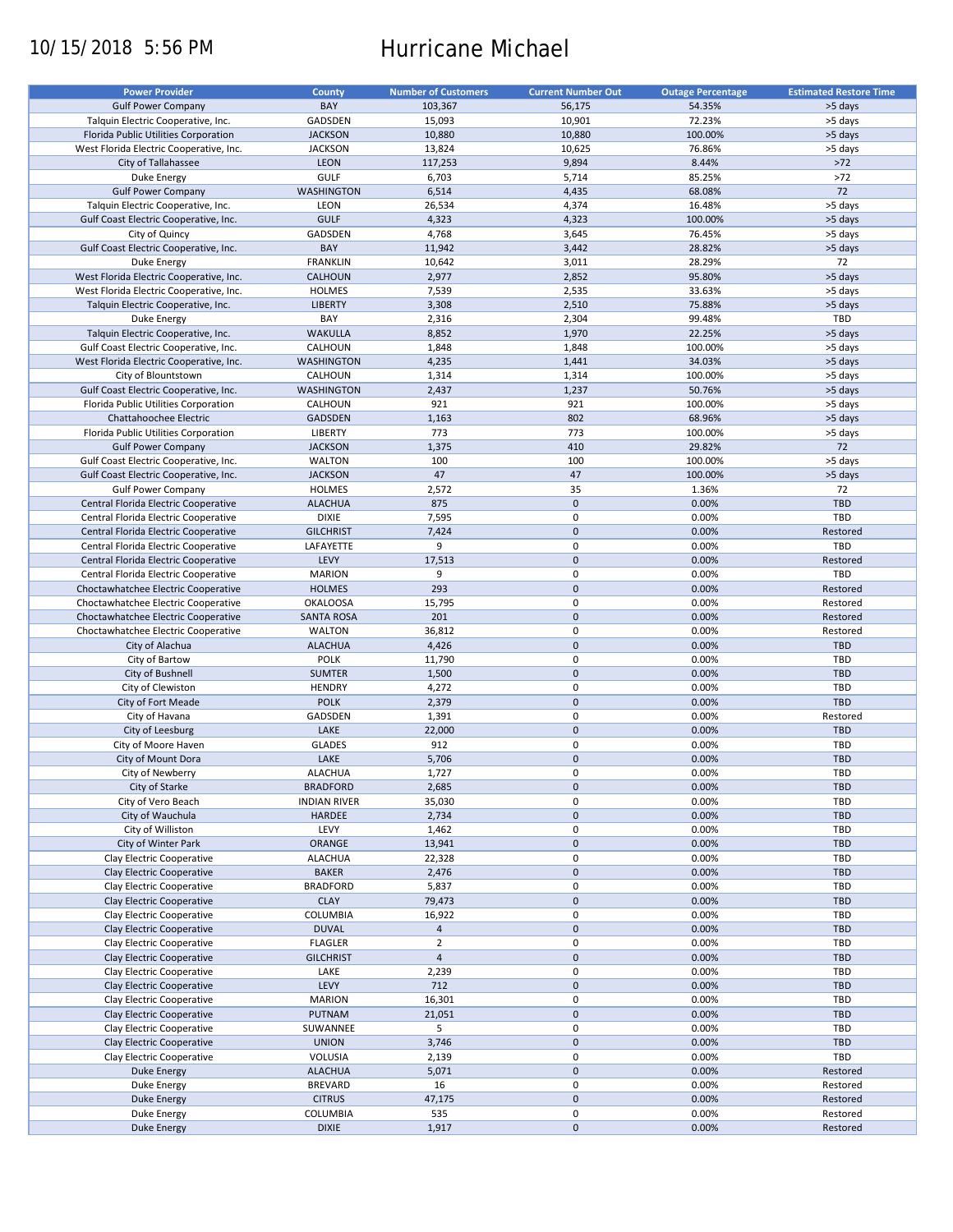# 10/15/2018 5:56 PM Hurricane Michael

| <b>Power Provider</b>                   | <b>County</b>       | <b>Number of Customers</b> | <b>Current Number Out</b> | <b>Outage Percentage</b> | <b>Estimated Restore Time</b> |
|-----------------------------------------|---------------------|----------------------------|---------------------------|--------------------------|-------------------------------|
|                                         |                     |                            |                           |                          |                               |
| <b>Gulf Power Company</b>               | BAY                 | 103,367                    | 56,175                    | 54.35%                   | >5 days                       |
| Talquin Electric Cooperative, Inc.      | GADSDEN             | 15,093                     | 10,901                    | 72.23%                   | >5 days                       |
| Florida Public Utilities Corporation    | <b>JACKSON</b>      | 10,880                     | 10,880                    | 100.00%                  | >5 days                       |
| West Florida Electric Cooperative, Inc. | <b>JACKSON</b>      | 13,824                     | 10,625                    | 76.86%                   | >5 days                       |
| City of Tallahassee                     | <b>LEON</b>         | 117,253                    | 9,894                     | 8.44%                    | $>72$                         |
| Duke Energy                             | <b>GULF</b>         | 6,703                      | 5,714                     | 85.25%                   | $>72$                         |
|                                         |                     |                            |                           |                          | 72                            |
| <b>Gulf Power Company</b>               | WASHINGTON          | 6,514                      | 4,435                     | 68.08%                   |                               |
| Talquin Electric Cooperative, Inc.      | <b>LEON</b>         | 26,534                     | 4,374                     | 16.48%                   | >5 days                       |
| Gulf Coast Electric Cooperative, Inc.   | <b>GULF</b>         | 4,323                      | 4,323                     | 100.00%                  | >5 days                       |
| City of Quincy                          | GADSDEN             | 4,768                      | 3,645                     | 76.45%                   | >5 days                       |
| Gulf Coast Electric Cooperative, Inc.   | BAY                 | 11,942                     | 3,442                     | 28.82%                   | >5 days                       |
| Duke Energy                             | <b>FRANKLIN</b>     | 10,642                     | 3,011                     | 28.29%                   | 72                            |
| West Florida Electric Cooperative, Inc. | CALHOUN             | 2,977                      | 2,852                     | 95.80%                   | >5 days                       |
|                                         |                     |                            |                           |                          |                               |
| West Florida Electric Cooperative, Inc. | <b>HOLMES</b>       | 7,539                      | 2,535                     | 33.63%                   | >5 days                       |
| Talquin Electric Cooperative, Inc.      | <b>LIBERTY</b>      | 3,308                      | 2,510                     | 75.88%                   | >5 days                       |
| Duke Energy                             | BAY                 | 2,316                      | 2,304                     | 99.48%                   | TBD                           |
| Talquin Electric Cooperative, Inc.      | <b>WAKULLA</b>      | 8,852                      | 1,970                     | 22.25%                   | >5 days                       |
| Gulf Coast Electric Cooperative, Inc.   | CALHOUN             | 1,848                      | 1,848                     | 100.00%                  | >5 days                       |
| West Florida Electric Cooperative, Inc. | <b>WASHINGTON</b>   | 4,235                      | 1,441                     | 34.03%                   | >5 days                       |
|                                         |                     |                            |                           |                          |                               |
| City of Blountstown                     | CALHOUN             | 1,314                      | 1,314                     | 100.00%                  | >5 days                       |
| Gulf Coast Electric Cooperative, Inc.   | <b>WASHINGTON</b>   | 2,437                      | 1,237                     | 50.76%                   | >5 days                       |
| Florida Public Utilities Corporation    | CALHOUN             | 921                        | 921                       | 100.00%                  | >5 days                       |
| Chattahoochee Electric                  | <b>GADSDEN</b>      | 1,163                      | 802                       | 68.96%                   | >5 days                       |
| Florida Public Utilities Corporation    | <b>LIBERTY</b>      | 773                        | 773                       | 100.00%                  | >5 days                       |
| <b>Gulf Power Company</b>               | <b>JACKSON</b>      | 1,375                      | 410                       | 29.82%                   | 72                            |
|                                         | <b>WALTON</b>       | 100                        | 100                       | 100.00%                  |                               |
| Gulf Coast Electric Cooperative, Inc.   |                     |                            |                           |                          | >5 days                       |
| Gulf Coast Electric Cooperative, Inc.   | <b>JACKSON</b>      | 47                         | 47                        | 100.00%                  | >5 days                       |
| <b>Gulf Power Company</b>               | <b>HOLMES</b>       | 2,572                      | 35                        | 1.36%                    | 72                            |
| Central Florida Electric Cooperative    | <b>ALACHUA</b>      | 875                        | $\mathbf 0$               | 0.00%                    | <b>TBD</b>                    |
| Central Florida Electric Cooperative    | <b>DIXIE</b>        | 7,595                      | 0                         | 0.00%                    | TBD                           |
| Central Florida Electric Cooperative    | <b>GILCHRIST</b>    | 7,424                      | $\mathbf 0$               | 0.00%                    | Restored                      |
| Central Florida Electric Cooperative    | LAFAYETTE           | 9                          | 0                         | 0.00%                    | TBD                           |
| Central Florida Electric Cooperative    | LEVY                | 17,513                     | $\mathbf 0$               | 0.00%                    | Restored                      |
|                                         |                     |                            |                           |                          |                               |
| Central Florida Electric Cooperative    | <b>MARION</b>       | 9                          | 0                         | 0.00%                    | TBD                           |
| Choctawhatchee Electric Cooperative     | <b>HOLMES</b>       | 293                        | $\mathbf 0$               | 0.00%                    | Restored                      |
| Choctawhatchee Electric Cooperative     | <b>OKALOOSA</b>     | 15,795                     | 0                         | 0.00%                    | Restored                      |
| Choctawhatchee Electric Cooperative     | <b>SANTA ROSA</b>   | 201                        | $\mathbf 0$               | 0.00%                    | Restored                      |
| Choctawhatchee Electric Cooperative     | <b>WALTON</b>       | 36,812                     | 0                         | 0.00%                    | Restored                      |
| City of Alachua                         | <b>ALACHUA</b>      | 4,426                      | $\mathbf 0$               | 0.00%                    | <b>TBD</b>                    |
| City of Bartow                          | POLK                | 11,790                     | 0                         | 0.00%                    | TBD                           |
|                                         |                     |                            | $\mathbf 0$               | 0.00%                    | TBD                           |
| City of Bushnell                        | <b>SUMTER</b>       | 1,500                      |                           |                          |                               |
| City of Clewiston                       | <b>HENDRY</b>       | 4,272                      | 0                         | 0.00%                    | TBD                           |
| City of Fort Meade                      | <b>POLK</b>         | 2,379                      | $\mathbf 0$               | 0.00%                    | TBD                           |
| City of Havana                          | GADSDEN             | 1,391                      | 0                         | 0.00%                    | Restored                      |
| City of Leesburg                        | LAKE                | 22,000                     | $\mathbf 0$               | 0.00%                    | <b>TBD</b>                    |
| City of Moore Haven                     | <b>GLADES</b>       | 912                        | 0                         | 0.00%                    | TBD                           |
| City of Mount Dora                      | LAKE                | 5,706                      | $\mathbf 0$               | 0.00%                    | <b>TBD</b>                    |
|                                         |                     |                            | $\mathbf 0$               |                          |                               |
| City of Newberry                        | <b>ALACHUA</b>      | 1,727                      |                           | 0.00%                    | TBD                           |
| City of Starke                          | <b>BRADFORD</b>     | 2,685                      | $\pmb{0}$                 | 0.00%                    | TBD                           |
| City of Vero Beach                      | <b>INDIAN RIVER</b> | 35,030                     | 0                         | 0.00%                    | TBD                           |
| City of Wauchula                        | HARDEE              | 2,734                      | $\pmb{0}$                 | 0.00%                    | <b>TBD</b>                    |
| City of Williston                       | LEVY                | 1,462                      | 0                         | 0.00%                    | TBD                           |
| City of Winter Park                     | ORANGE              | 13,941                     | $\mathsf{O}\xspace$       | 0.00%                    | TBD                           |
| Clay Electric Cooperative               | <b>ALACHUA</b>      | 22,328                     | 0                         | 0.00%                    | TBD                           |
|                                         |                     |                            | $\mathsf{O}\xspace$       | 0.00%                    | TBD                           |
| Clay Electric Cooperative               | <b>BAKER</b>        | 2,476                      |                           |                          |                               |
| Clay Electric Cooperative               | <b>BRADFORD</b>     | 5,837                      | 0                         | 0.00%                    | TBD                           |
| Clay Electric Cooperative               | <b>CLAY</b>         | 79,473                     | $\mathsf{O}\xspace$       | 0.00%                    | <b>TBD</b>                    |
| Clay Electric Cooperative               | COLUMBIA            | 16,922                     | 0                         | 0.00%                    | TBD                           |
| Clay Electric Cooperative               | <b>DUVAL</b>        | $\overline{4}$             | $\pmb{0}$                 | 0.00%                    | <b>TBD</b>                    |
| Clay Electric Cooperative               | <b>FLAGLER</b>      | $\overline{2}$             | 0                         | 0.00%                    | TBD                           |
| Clay Electric Cooperative               | <b>GILCHRIST</b>    | $\overline{4}$             | $\pmb{0}$                 | 0.00%                    | <b>TBD</b>                    |
|                                         |                     |                            | $\pmb{0}$                 |                          | TBD                           |
| Clay Electric Cooperative               | LAKE                | 2,239                      |                           | 0.00%                    |                               |
| Clay Electric Cooperative               | LEVY                | 712                        | $\pmb{0}$                 | 0.00%                    | <b>TBD</b>                    |
| Clay Electric Cooperative               | <b>MARION</b>       | 16,301                     | 0                         | 0.00%                    | TBD                           |
| Clay Electric Cooperative               | PUTNAM              | 21,051                     | $\pmb{0}$                 | 0.00%                    | <b>TBD</b>                    |
| Clay Electric Cooperative               | SUWANNEE            | 5                          | $\pmb{0}$                 | 0.00%                    | TBD                           |
| Clay Electric Cooperative               | <b>UNION</b>        | 3,746                      | $\pmb{0}$                 | 0.00%                    | TBD                           |
| Clay Electric Cooperative               | VOLUSIA             | 2,139                      | 0                         | 0.00%                    | TBD                           |
|                                         |                     |                            | $\mathsf{O}\xspace$       | 0.00%                    |                               |
| <b>Duke Energy</b>                      | <b>ALACHUA</b>      | 5,071                      |                           |                          | Restored                      |
| Duke Energy                             | <b>BREVARD</b>      | 16                         | 0                         | 0.00%                    | Restored                      |
| <b>Duke Energy</b>                      | <b>CITRUS</b>       | 47,175                     | $\pmb{0}$                 | 0.00%                    | Restored                      |
| Duke Energy                             | COLUMBIA            | 535                        | 0                         | 0.00%                    | Restored                      |
| <b>Duke Energy</b>                      | <b>DIXIE</b>        | 1,917                      | $\pmb{0}$                 | 0.00%                    | Restored                      |
|                                         |                     |                            |                           |                          |                               |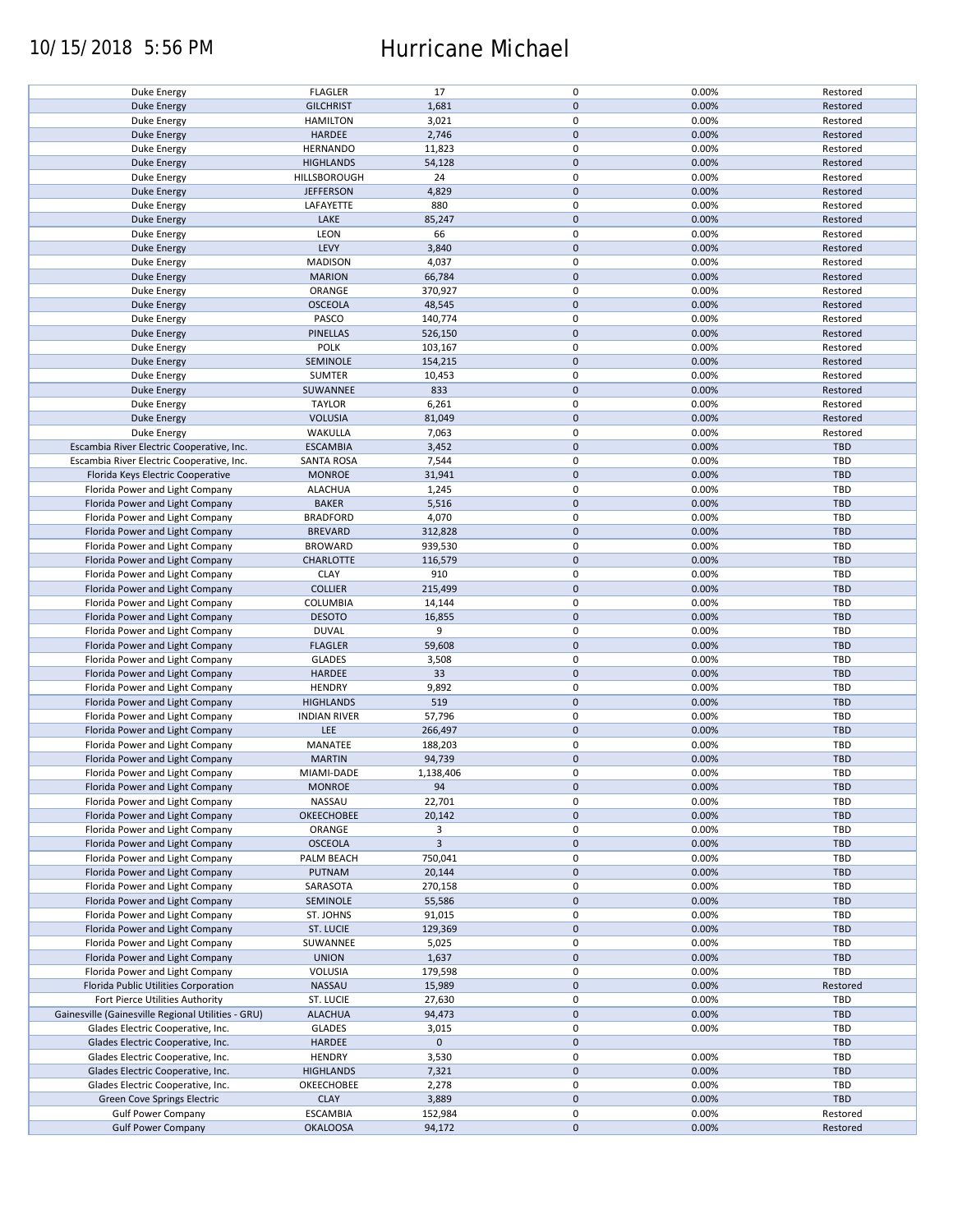### 10/15/2018 5:56 PM Hurricane Michael

| Duke Energy                                        | <b>FLAGLER</b>      | 17             | $\pmb{0}$   | 0.00% | Restored   |
|----------------------------------------------------|---------------------|----------------|-------------|-------|------------|
| <b>Duke Energy</b>                                 | <b>GILCHRIST</b>    | 1,681          | $\mathbf 0$ | 0.00% | Restored   |
| Duke Energy                                        | <b>HAMILTON</b>     | 3,021          | 0           | 0.00% | Restored   |
| <b>Duke Energy</b>                                 | <b>HARDEE</b>       | 2,746          | $\mathbf 0$ | 0.00% | Restored   |
|                                                    |                     |                |             |       |            |
| Duke Energy                                        | <b>HERNANDO</b>     | 11,823         | $\pmb{0}$   | 0.00% | Restored   |
| <b>Duke Energy</b>                                 | <b>HIGHLANDS</b>    | 54,128         | $\mathbf 0$ | 0.00% | Restored   |
| Duke Energy                                        | HILLSBOROUGH        | 24             | $\pmb{0}$   | 0.00% | Restored   |
| <b>Duke Energy</b>                                 | <b>JEFFERSON</b>    | 4,829          | $\mathbf 0$ | 0.00% | Restored   |
|                                                    |                     |                |             |       |            |
| Duke Energy                                        | LAFAYETTE           | 880            | $\pmb{0}$   | 0.00% | Restored   |
| <b>Duke Energy</b>                                 | LAKE                | 85,247         | $\mathbf 0$ | 0.00% | Restored   |
| Duke Energy                                        | LEON                | 66             | 0           | 0.00% | Restored   |
| <b>Duke Energy</b>                                 | LEVY                | 3,840          | $\mathbf 0$ | 0.00% | Restored   |
|                                                    |                     |                |             |       |            |
| Duke Energy                                        | <b>MADISON</b>      | 4,037          | $\pmb{0}$   | 0.00% | Restored   |
| <b>Duke Energy</b>                                 | <b>MARION</b>       | 66,784         | $\mathbf 0$ | 0.00% | Restored   |
| Duke Energy                                        | ORANGE              | 370,927        | $\pmb{0}$   | 0.00% | Restored   |
|                                                    | <b>OSCEOLA</b>      |                | $\pmb{0}$   | 0.00% |            |
| <b>Duke Energy</b>                                 |                     | 48,545         |             |       | Restored   |
| Duke Energy                                        | PASCO               | 140,774        | $\pmb{0}$   | 0.00% | Restored   |
| <b>Duke Energy</b>                                 | <b>PINELLAS</b>     | 526,150        | $\pmb{0}$   | 0.00% | Restored   |
| <b>Duke Energy</b>                                 | <b>POLK</b>         | 103,167        | 0           | 0.00% | Restored   |
|                                                    |                     |                |             |       |            |
| <b>Duke Energy</b>                                 | SEMINOLE            | 154,215        | $\pmb{0}$   | 0.00% | Restored   |
| Duke Energy                                        | <b>SUMTER</b>       | 10,453         | $\pmb{0}$   | 0.00% | Restored   |
| <b>Duke Energy</b>                                 | SUWANNEE            | 833            | $\pmb{0}$   | 0.00% | Restored   |
| Duke Energy                                        | <b>TAYLOR</b>       | 6,261          | 0           | 0.00% | Restored   |
|                                                    |                     |                |             |       |            |
| <b>Duke Energy</b>                                 | <b>VOLUSIA</b>      | 81,049         | $\pmb{0}$   | 0.00% | Restored   |
| Duke Energy                                        | WAKULLA             | 7,063          | $\pmb{0}$   | 0.00% | Restored   |
| Escambia River Electric Cooperative, Inc.          | <b>ESCAMBIA</b>     | 3,452          | $\pmb{0}$   | 0.00% | <b>TBD</b> |
|                                                    |                     |                |             |       |            |
| Escambia River Electric Cooperative, Inc.          | <b>SANTA ROSA</b>   | 7,544          | 0           | 0.00% | TBD        |
| Florida Keys Electric Cooperative                  | <b>MONROE</b>       | 31,941         | $\mathbf 0$ | 0.00% | <b>TBD</b> |
| Florida Power and Light Company                    | <b>ALACHUA</b>      | 1,245          | $\pmb{0}$   | 0.00% | <b>TBD</b> |
|                                                    |                     |                |             |       |            |
| Florida Power and Light Company                    | <b>BAKER</b>        | 5,516          | $\mathbf 0$ | 0.00% | <b>TBD</b> |
| Florida Power and Light Company                    | <b>BRADFORD</b>     | 4,070          | 0           | 0.00% | TBD        |
| Florida Power and Light Company                    | <b>BREVARD</b>      | 312,828        | $\mathbf 0$ | 0.00% | <b>TBD</b> |
| Florida Power and Light Company                    | <b>BROWARD</b>      | 939,530        | $\pmb{0}$   | 0.00% | TBD        |
|                                                    |                     |                |             |       |            |
| Florida Power and Light Company                    | CHARLOTTE           | 116,579        | $\pmb{0}$   | 0.00% | <b>TBD</b> |
| Florida Power and Light Company                    | <b>CLAY</b>         | 910            | 0           | 0.00% | TBD        |
| Florida Power and Light Company                    | <b>COLLIER</b>      | 215,499        | $\pmb{0}$   | 0.00% | <b>TBD</b> |
|                                                    |                     |                |             |       |            |
| Florida Power and Light Company                    | <b>COLUMBIA</b>     | 14,144         | $\pmb{0}$   | 0.00% | TBD        |
| Florida Power and Light Company                    | <b>DESOTO</b>       | 16,855         | $\mathbf 0$ | 0.00% | <b>TBD</b> |
| Florida Power and Light Company                    | <b>DUVAL</b>        | 9              | $\pmb{0}$   | 0.00% | TBD        |
| Florida Power and Light Company                    | <b>FLAGLER</b>      | 59,608         | $\mathbf 0$ | 0.00% | <b>TBD</b> |
|                                                    |                     |                |             |       |            |
| Florida Power and Light Company                    | <b>GLADES</b>       | 3,508          | $\pmb{0}$   | 0.00% | TBD        |
| Florida Power and Light Company                    | <b>HARDEE</b>       | 33             | $\mathbf 0$ | 0.00% | <b>TBD</b> |
| Florida Power and Light Company                    | <b>HENDRY</b>       | 9,892          | $\pmb{0}$   | 0.00% | <b>TBD</b> |
|                                                    |                     |                |             |       |            |
| Florida Power and Light Company                    | <b>HIGHLANDS</b>    | 519            | $\mathbf 0$ | 0.00% | <b>TBD</b> |
| Florida Power and Light Company                    | <b>INDIAN RIVER</b> | 57,796         | 0           | 0.00% | <b>TBD</b> |
| Florida Power and Light Company                    | LEE                 | 266,497        | $\mathbf 0$ | 0.00% | <b>TBD</b> |
| Florida Power and Light Company                    | MANATEE             | 188,203        | $\pmb{0}$   |       | <b>TBD</b> |
|                                                    |                     |                |             | 0.00% |            |
| Florida Power and Light Company                    | <b>MARTIN</b>       | 94,739         | $\mathbf 0$ | 0.00% | <b>TBD</b> |
| Florida Power and Light Company                    | MIAMI-DADE          | 1,138,406      | $\mathbf 0$ | 0.00% | TBD        |
| Florida Power and Light Company                    | <b>MONROE</b>       | 94             | $\mathbf 0$ | 0.00% | <b>TBD</b> |
|                                                    |                     |                |             |       |            |
| Florida Power and Light Company                    | NASSAU              | 22,701         | 0           | 0.00% | TBD        |
| Florida Power and Light Company                    | OKEECHOBEE          | 20,142         | $\mathbf 0$ | 0.00% | <b>TBD</b> |
| Florida Power and Light Company                    | ORANGE              | 3              | 0           | 0.00% | TBD        |
| Florida Power and Light Company                    |                     | $\overline{3}$ | $\mathbf 0$ |       | <b>TBD</b> |
|                                                    | <b>OSCEOLA</b>      |                |             | 0.00% |            |
| Florida Power and Light Company                    | PALM BEACH          | 750,041        | 0           | 0.00% | TBD        |
| Florida Power and Light Company                    | PUTNAM              | 20,144         | $\mathbf 0$ | 0.00% | <b>TBD</b> |
| Florida Power and Light Company                    | SARASOTA            | 270,158        | 0           | 0.00% | TBD        |
|                                                    |                     |                |             |       |            |
| Florida Power and Light Company                    | SEMINOLE            | 55,586         | $\pmb{0}$   | 0.00% | <b>TBD</b> |
| Florida Power and Light Company                    | ST. JOHNS           | 91,015         | 0           | 0.00% | TBD        |
| Florida Power and Light Company                    | ST. LUCIE           | 129,369        | $\mathbf 0$ | 0.00% | <b>TBD</b> |
|                                                    |                     |                |             |       |            |
| Florida Power and Light Company                    | SUWANNEE            | 5,025          | $\pmb{0}$   | 0.00% | TBD        |
| Florida Power and Light Company                    | <b>UNION</b>        | 1,637          | $\mathbf 0$ | 0.00% | <b>TBD</b> |
| Florida Power and Light Company                    | VOLUSIA             | 179,598        | $\pmb{0}$   | 0.00% | TBD        |
| Florida Public Utilities Corporation               | NASSAU              | 15,989         | $\pmb{0}$   | 0.00% | Restored   |
|                                                    |                     |                |             |       |            |
| Fort Pierce Utilities Authority                    | ST. LUCIE           | 27,630         | $\pmb{0}$   | 0.00% | TBD        |
| Gainesville (Gainesville Regional Utilities - GRU) | <b>ALACHUA</b>      | 94,473         | $\mathbf 0$ | 0.00% | <b>TBD</b> |
| Glades Electric Cooperative, Inc.                  | <b>GLADES</b>       | 3,015          | $\pmb{0}$   | 0.00% | TBD        |
|                                                    |                     |                |             |       |            |
| Glades Electric Cooperative, Inc.                  | HARDEE              | $\mathbf 0$    | $\pmb{0}$   |       | <b>TBD</b> |
| Glades Electric Cooperative, Inc.                  | <b>HENDRY</b>       | 3,530          | $\pmb{0}$   | 0.00% | TBD        |
| Glades Electric Cooperative, Inc.                  | <b>HIGHLANDS</b>    | 7,321          | $\pmb{0}$   | 0.00% | <b>TBD</b> |
| Glades Electric Cooperative, Inc.                  | OKEECHOBEE          | 2,278          | $\pmb{0}$   | 0.00% | TBD        |
|                                                    |                     |                |             |       |            |
| Green Cove Springs Electric                        | <b>CLAY</b>         | 3,889          | $\pmb{0}$   | 0.00% | <b>TBD</b> |
| <b>Gulf Power Company</b>                          | <b>ESCAMBIA</b>     | 152,984        | $\pmb{0}$   | 0.00% | Restored   |
| <b>Gulf Power Company</b>                          | <b>OKALOOSA</b>     | 94,172         | $\pmb{0}$   | 0.00% | Restored   |
|                                                    |                     |                |             |       |            |